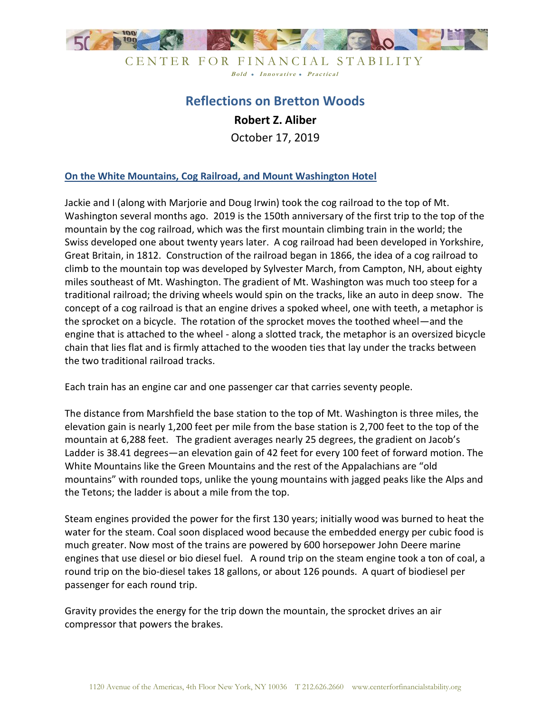

# **Reflections on Bretton Woods Robert Z. Aliber** October 17, 2019

#### **On the White Mountains, Cog Railroad, and Mount Washington Hotel**

Jackie and I (along with Marjorie and Doug Irwin) took the cog railroad to the top of Mt. Washington several months ago. 2019 is the 150th anniversary of the first trip to the top of the mountain by the cog railroad, which was the first mountain climbing train in the world; the Swiss developed one about twenty years later. A cog railroad had been developed in Yorkshire, Great Britain, in 1812. Construction of the railroad began in 1866, the idea of a cog railroad to climb to the mountain top was developed by Sylvester March, from Campton, NH, about eighty miles southeast of Mt. Washington. The gradient of Mt. Washington was much too steep for a traditional railroad; the driving wheels would spin on the tracks, like an auto in deep snow. The concept of a cog railroad is that an engine drives a spoked wheel, one with teeth, a metaphor is the sprocket on a bicycle. The rotation of the sprocket moves the toothed wheel—and the engine that is attached to the wheel - along a slotted track, the metaphor is an oversized bicycle chain that lies flat and is firmly attached to the wooden ties that lay under the tracks between the two traditional railroad tracks.

Each train has an engine car and one passenger car that carries seventy people.

The distance from Marshfield the base station to the top of Mt. Washington is three miles, the elevation gain is nearly 1,200 feet per mile from the base station is 2,700 feet to the top of the mountain at 6,288 feet. The gradient averages nearly 25 degrees, the gradient on Jacob's Ladder is 38.41 degrees—an elevation gain of 42 feet for every 100 feet of forward motion. The White Mountains like the Green Mountains and the rest of the Appalachians are "old mountains" with rounded tops, unlike the young mountains with jagged peaks like the Alps and the Tetons; the ladder is about a mile from the top.

Steam engines provided the power for the first 130 years; initially wood was burned to heat the water for the steam. Coal soon displaced wood because the embedded energy per cubic food is much greater. Now most of the trains are powered by 600 horsepower John Deere marine engines that use diesel or bio diesel fuel. A round trip on the steam engine took a ton of coal, a round trip on the bio-diesel takes 18 gallons, or about 126 pounds. A quart of biodiesel per passenger for each round trip.

Gravity provides the energy for the trip down the mountain, the sprocket drives an air compressor that powers the brakes.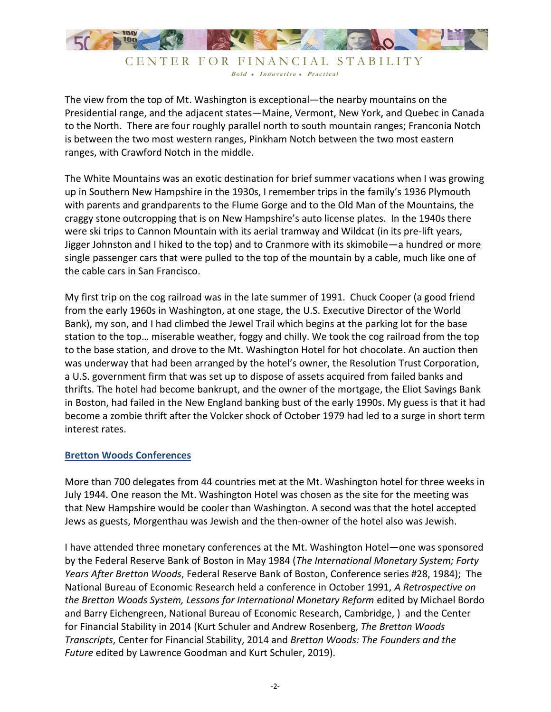

The view from the top of Mt. Washington is exceptional—the nearby mountains on the Presidential range, and the adjacent states—Maine, Vermont, New York, and Quebec in Canada to the North. There are four roughly parallel north to south mountain ranges; Franconia Notch is between the two most western ranges, Pinkham Notch between the two most eastern ranges, with Crawford Notch in the middle.

The White Mountains was an exotic destination for brief summer vacations when I was growing up in Southern New Hampshire in the 1930s, I remember trips in the family's 1936 Plymouth with parents and grandparents to the Flume Gorge and to the Old Man of the Mountains, the craggy stone outcropping that is on New Hampshire's auto license plates. In the 1940s there were ski trips to Cannon Mountain with its aerial tramway and Wildcat (in its pre-lift years, Jigger Johnston and I hiked to the top) and to Cranmore with its skimobile—a hundred or more single passenger cars that were pulled to the top of the mountain by a cable, much like one of the cable cars in San Francisco.

My first trip on the cog railroad was in the late summer of 1991. Chuck Cooper (a good friend from the early 1960s in Washington, at one stage, the U.S. Executive Director of the World Bank), my son, and I had climbed the Jewel Trail which begins at the parking lot for the base station to the top… miserable weather, foggy and chilly. We took the cog railroad from the top to the base station, and drove to the Mt. Washington Hotel for hot chocolate. An auction then was underway that had been arranged by the hotel's owner, the Resolution Trust Corporation, a U.S. government firm that was set up to dispose of assets acquired from failed banks and thrifts. The hotel had become bankrupt, and the owner of the mortgage, the Eliot Savings Bank in Boston, had failed in the New England banking bust of the early 1990s. My guess is that it had become a zombie thrift after the Volcker shock of October 1979 had led to a surge in short term interest rates.

#### **Bretton Woods Conferences**

More than 700 delegates from 44 countries met at the Mt. Washington hotel for three weeks in July 1944. One reason the Mt. Washington Hotel was chosen as the site for the meeting was that New Hampshire would be cooler than Washington. A second was that the hotel accepted Jews as guests, Morgenthau was Jewish and the then-owner of the hotel also was Jewish.

I have attended three monetary conferences at the Mt. Washington Hotel—one was sponsored by the Federal Reserve Bank of Boston in May 1984 (*The International Monetary System; Forty Years After Bretton Woods*, Federal Reserve Bank of Boston, Conference series #28, 1984); The National Bureau of Economic Research held a conference in October 1991, *A Retrospective on the Bretton Woods System, Lessons for International Monetary Reform* edited by Michael Bordo and Barry Eichengreen, National Bureau of Economic Research, Cambridge, ) and the Center for Financial Stability in 2014 (Kurt Schuler and Andrew Rosenberg, *The Bretton Woods Transcripts*, Center for Financial Stability, 2014 and *Bretton Woods: The Founders and the Future* edited by Lawrence Goodman and Kurt Schuler, 2019).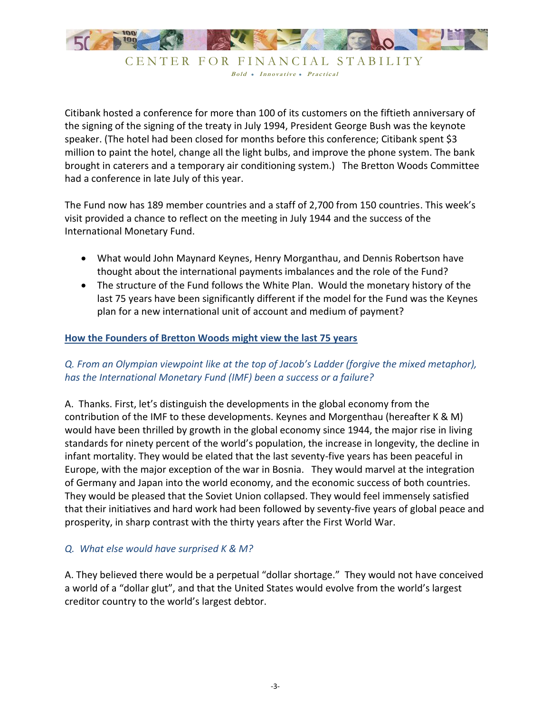

Citibank hosted a conference for more than 100 of its customers on the fiftieth anniversary of the signing of the signing of the treaty in July 1994, President George Bush was the keynote speaker. (The hotel had been closed for months before this conference; Citibank spent \$3 million to paint the hotel, change all the light bulbs, and improve the phone system. The bank brought in caterers and a temporary air conditioning system.) The Bretton Woods Committee had a conference in late July of this year.

The Fund now has 189 member countries and a staff of 2,700 from 150 countries. This week's visit provided a chance to reflect on the meeting in July 1944 and the success of the International Monetary Fund.

- What would John Maynard Keynes, Henry Morganthau, and Dennis Robertson have thought about the international payments imbalances and the role of the Fund?
- The structure of the Fund follows the White Plan. Would the monetary history of the last 75 years have been significantly different if the model for the Fund was the Keynes plan for a new international unit of account and medium of payment?

#### **How the Founders of Bretton Woods might view the last 75 years**

## *Q. From an Olympian viewpoint like at the top of Jacob's Ladder (forgive the mixed metaphor), has the International Monetary Fund (IMF) been a success or a failure?*

A. Thanks. First, let's distinguish the developments in the global economy from the contribution of the IMF to these developments. Keynes and Morgenthau (hereafter K & M) would have been thrilled by growth in the global economy since 1944, the major rise in living standards for ninety percent of the world's population, the increase in longevity, the decline in infant mortality. They would be elated that the last seventy-five years has been peaceful in Europe, with the major exception of the war in Bosnia. They would marvel at the integration of Germany and Japan into the world economy, and the economic success of both countries. They would be pleased that the Soviet Union collapsed. They would feel immensely satisfied that their initiatives and hard work had been followed by seventy-five years of global peace and prosperity, in sharp contrast with the thirty years after the First World War.

#### *Q. What else would have surprised K & M?*

A. They believed there would be a perpetual "dollar shortage." They would not have conceived a world of a "dollar glut", and that the United States would evolve from the world's largest creditor country to the world's largest debtor.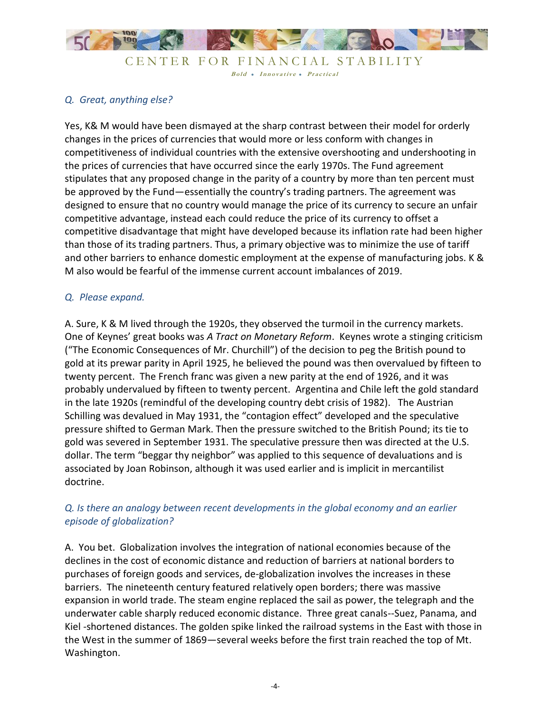

## *Q. Great, anything else?*

Yes, K& M would have been dismayed at the sharp contrast between their model for orderly changes in the prices of currencies that would more or less conform with changes in competitiveness of individual countries with the extensive overshooting and undershooting in the prices of currencies that have occurred since the early 1970s. The Fund agreement stipulates that any proposed change in the parity of a country by more than ten percent must be approved by the Fund—essentially the country's trading partners. The agreement was designed to ensure that no country would manage the price of its currency to secure an unfair competitive advantage, instead each could reduce the price of its currency to offset a competitive disadvantage that might have developed because its inflation rate had been higher than those of its trading partners. Thus, a primary objective was to minimize the use of tariff and other barriers to enhance domestic employment at the expense of manufacturing jobs. K & M also would be fearful of the immense current account imbalances of 2019.

#### *Q. Please expand.*

A. Sure, K & M lived through the 1920s, they observed the turmoil in the currency markets. One of Keynes' great books was *A Tract on Monetary Reform*. Keynes wrote a stinging criticism ("The Economic Consequences of Mr. Churchill") of the decision to peg the British pound to gold at its prewar parity in April 1925, he believed the pound was then overvalued by fifteen to twenty percent. The French franc was given a new parity at the end of 1926, and it was probably undervalued by fifteen to twenty percent. Argentina and Chile left the gold standard in the late 1920s (remindful of the developing country debt crisis of 1982). The Austrian Schilling was devalued in May 1931, the "contagion effect" developed and the speculative pressure shifted to German Mark. Then the pressure switched to the British Pound; its tie to gold was severed in September 1931. The speculative pressure then was directed at the U.S. dollar. The term "beggar thy neighbor" was applied to this sequence of devaluations and is associated by Joan Robinson, although it was used earlier and is implicit in mercantilist doctrine.

## *Q. Is there an analogy between recent developments in the global economy and an earlier episode of globalization?*

A. You bet. Globalization involves the integration of national economies because of the declines in the cost of economic distance and reduction of barriers at national borders to purchases of foreign goods and services, de-globalization involves the increases in these barriers. The nineteenth century featured relatively open borders; there was massive expansion in world trade. The steam engine replaced the sail as power, the telegraph and the underwater cable sharply reduced economic distance. Three great canals--Suez, Panama, and Kiel -shortened distances. The golden spike linked the railroad systems in the East with those in the West in the summer of 1869—several weeks before the first train reached the top of Mt. Washington.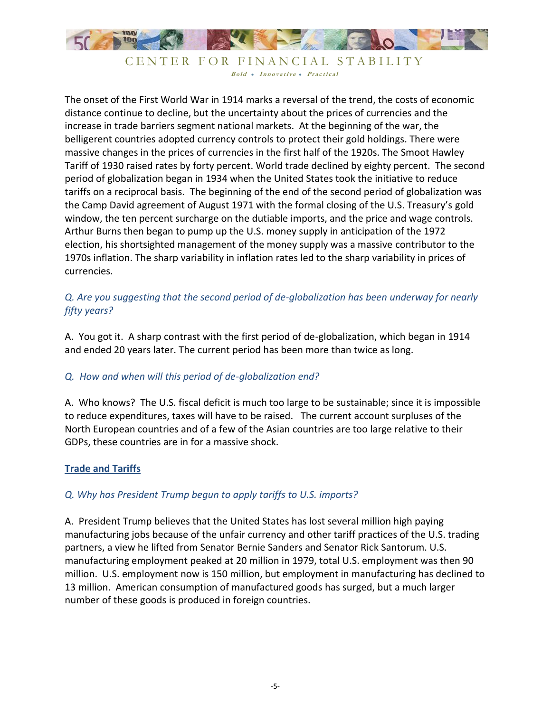

The onset of the First World War in 1914 marks a reversal of the trend, the costs of economic distance continue to decline, but the uncertainty about the prices of currencies and the increase in trade barriers segment national markets. At the beginning of the war, the belligerent countries adopted currency controls to protect their gold holdings. There were massive changes in the prices of currencies in the first half of the 1920s. The Smoot Hawley Tariff of 1930 raised rates by forty percent. World trade declined by eighty percent. The second period of globalization began in 1934 when the United States took the initiative to reduce tariffs on a reciprocal basis. The beginning of the end of the second period of globalization was the Camp David agreement of August 1971 with the formal closing of the U.S. Treasury's gold window, the ten percent surcharge on the dutiable imports, and the price and wage controls. Arthur Burns then began to pump up the U.S. money supply in anticipation of the 1972 election, his shortsighted management of the money supply was a massive contributor to the 1970s inflation. The sharp variability in inflation rates led to the sharp variability in prices of currencies.

# *Q. Are you suggesting that the second period of de-globalization has been underway for nearly fifty years?*

A. You got it. A sharp contrast with the first period of de-globalization, which began in 1914 and ended 20 years later. The current period has been more than twice as long.

# *Q. How and when will this period of de-globalization end?*

A. Who knows? The U.S. fiscal deficit is much too large to be sustainable; since it is impossible to reduce expenditures, taxes will have to be raised. The current account surpluses of the North European countries and of a few of the Asian countries are too large relative to their GDPs, these countries are in for a massive shock.

#### **Trade and Tariffs**

#### *Q. Why has President Trump begun to apply tariffs to U.S. imports?*

A. President Trump believes that the United States has lost several million high paying manufacturing jobs because of the unfair currency and other tariff practices of the U.S. trading partners, a view he lifted from Senator Bernie Sanders and Senator Rick Santorum. U.S. manufacturing employment peaked at 20 million in 1979, total U.S. employment was then 90 million. U.S. employment now is 150 million, but employment in manufacturing has declined to 13 million. American consumption of manufactured goods has surged, but a much larger number of these goods is produced in foreign countries.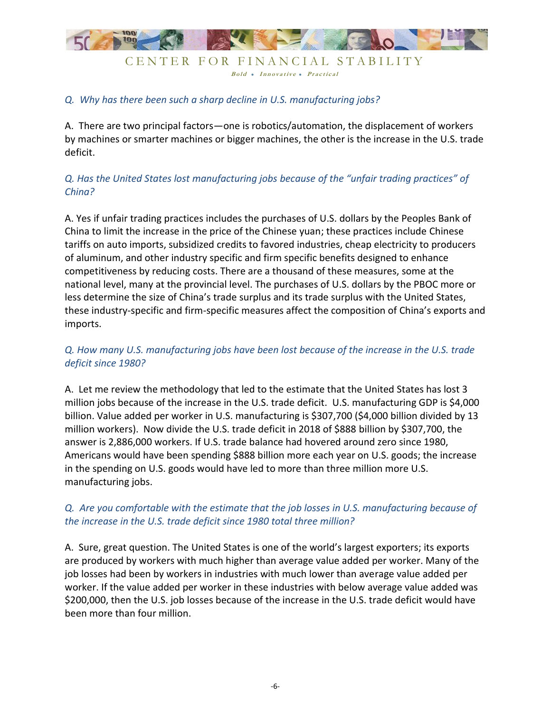

#### *Q. Why has there been such a sharp decline in U.S. manufacturing jobs?*

A. There are two principal factors—one is robotics/automation, the displacement of workers by machines or smarter machines or bigger machines, the other is the increase in the U.S. trade deficit.

# *Q. Has the United States lost manufacturing jobs because of the "unfair trading practices" of China?*

A. Yes if unfair trading practices includes the purchases of U.S. dollars by the Peoples Bank of China to limit the increase in the price of the Chinese yuan; these practices include Chinese tariffs on auto imports, subsidized credits to favored industries, cheap electricity to producers of aluminum, and other industry specific and firm specific benefits designed to enhance competitiveness by reducing costs. There are a thousand of these measures, some at the national level, many at the provincial level. The purchases of U.S. dollars by the PBOC more or less determine the size of China's trade surplus and its trade surplus with the United States, these industry-specific and firm-specific measures affect the composition of China's exports and imports.

## *Q. How many U.S. manufacturing jobs have been lost because of the increase in the U.S. trade deficit since 1980?*

A. Let me review the methodology that led to the estimate that the United States has lost 3 million jobs because of the increase in the U.S. trade deficit. U.S. manufacturing GDP is \$4,000 billion. Value added per worker in U.S. manufacturing is \$307,700 (\$4,000 billion divided by 13 million workers). Now divide the U.S. trade deficit in 2018 of \$888 billion by \$307,700, the answer is 2,886,000 workers. If U.S. trade balance had hovered around zero since 1980, Americans would have been spending \$888 billion more each year on U.S. goods; the increase in the spending on U.S. goods would have led to more than three million more U.S. manufacturing jobs.

## *Q. Are you comfortable with the estimate that the job losses in U.S. manufacturing because of the increase in the U.S. trade deficit since 1980 total three million?*

A. Sure, great question. The United States is one of the world's largest exporters; its exports are produced by workers with much higher than average value added per worker. Many of the job losses had been by workers in industries with much lower than average value added per worker. If the value added per worker in these industries with below average value added was \$200,000, then the U.S. job losses because of the increase in the U.S. trade deficit would have been more than four million.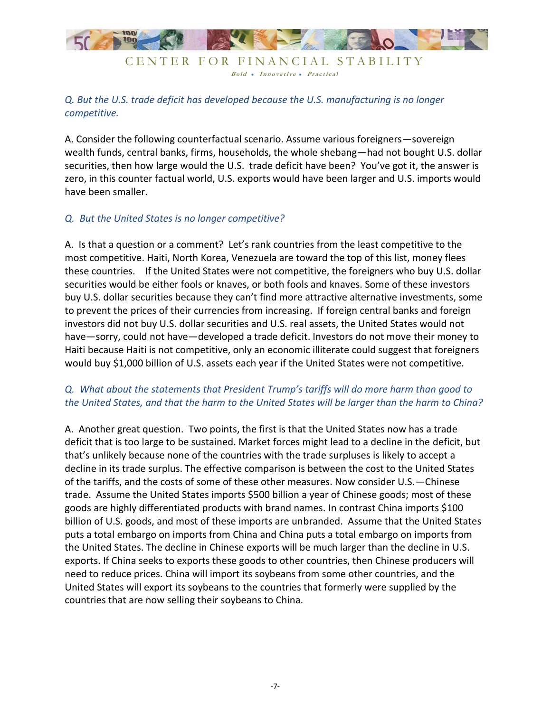

Bold • Innovative • Practical

# *Q. But the U.S. trade deficit has developed because the U.S. manufacturing is no longer competitive.*

A. Consider the following counterfactual scenario. Assume various foreigners—sovereign wealth funds, central banks, firms, households, the whole shebang—had not bought U.S. dollar securities, then how large would the U.S. trade deficit have been? You've got it, the answer is zero, in this counter factual world, U.S. exports would have been larger and U.S. imports would have been smaller.

#### *Q. But the United States is no longer competitive?*

A. Is that a question or a comment? Let's rank countries from the least competitive to the most competitive. Haiti, North Korea, Venezuela are toward the top of this list, money flees these countries. If the United States were not competitive, the foreigners who buy U.S. dollar securities would be either fools or knaves, or both fools and knaves. Some of these investors buy U.S. dollar securities because they can't find more attractive alternative investments, some to prevent the prices of their currencies from increasing. If foreign central banks and foreign investors did not buy U.S. dollar securities and U.S. real assets, the United States would not have—sorry, could not have—developed a trade deficit. Investors do not move their money to Haiti because Haiti is not competitive, only an economic illiterate could suggest that foreigners would buy \$1,000 billion of U.S. assets each year if the United States were not competitive.

#### *Q. What about the statements that President Trump's tariffs will do more harm than good to the United States, and that the harm to the United States will be larger than the harm to China?*

A. Another great question. Two points, the first is that the United States now has a trade deficit that is too large to be sustained. Market forces might lead to a decline in the deficit, but that's unlikely because none of the countries with the trade surpluses is likely to accept a decline in its trade surplus. The effective comparison is between the cost to the United States of the tariffs, and the costs of some of these other measures. Now consider U.S.—Chinese trade. Assume the United States imports \$500 billion a year of Chinese goods; most of these goods are highly differentiated products with brand names. In contrast China imports \$100 billion of U.S. goods, and most of these imports are unbranded. Assume that the United States puts a total embargo on imports from China and China puts a total embargo on imports from the United States. The decline in Chinese exports will be much larger than the decline in U.S. exports. If China seeks to exports these goods to other countries, then Chinese producers will need to reduce prices. China will import its soybeans from some other countries, and the United States will export its soybeans to the countries that formerly were supplied by the countries that are now selling their soybeans to China.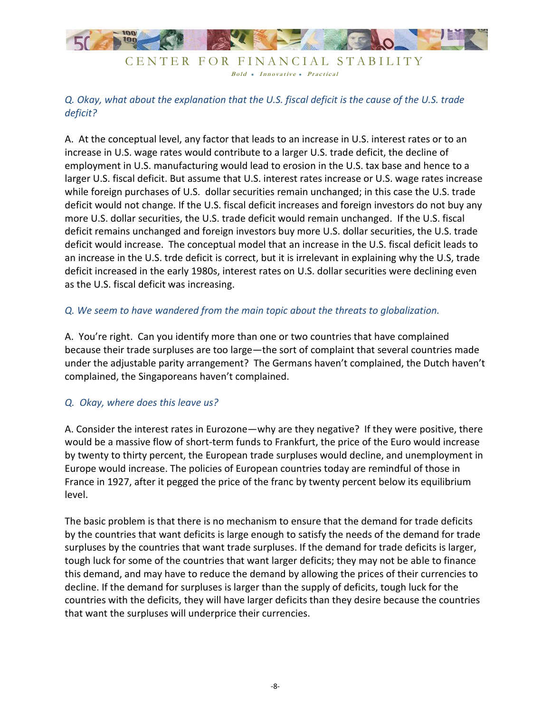

Bold • Innovative • Practical

*Q. Okay, what about the explanation that the U.S. fiscal deficit is the cause of the U.S. trade deficit?*

A. At the conceptual level, any factor that leads to an increase in U.S. interest rates or to an increase in U.S. wage rates would contribute to a larger U.S. trade deficit, the decline of employment in U.S. manufacturing would lead to erosion in the U.S. tax base and hence to a larger U.S. fiscal deficit. But assume that U.S. interest rates increase or U.S. wage rates increase while foreign purchases of U.S. dollar securities remain unchanged; in this case the U.S. trade deficit would not change. If the U.S. fiscal deficit increases and foreign investors do not buy any more U.S. dollar securities, the U.S. trade deficit would remain unchanged. If the U.S. fiscal deficit remains unchanged and foreign investors buy more U.S. dollar securities, the U.S. trade deficit would increase. The conceptual model that an increase in the U.S. fiscal deficit leads to an increase in the U.S. trde deficit is correct, but it is irrelevant in explaining why the U.S, trade deficit increased in the early 1980s, interest rates on U.S. dollar securities were declining even as the U.S. fiscal deficit was increasing.

#### *Q. We seem to have wandered from the main topic about the threats to globalization.*

A. You're right. Can you identify more than one or two countries that have complained because their trade surpluses are too large—the sort of complaint that several countries made under the adjustable parity arrangement? The Germans haven't complained, the Dutch haven't complained, the Singaporeans haven't complained.

#### *Q. Okay, where does this leave us?*

A. Consider the interest rates in Eurozone—why are they negative? If they were positive, there would be a massive flow of short-term funds to Frankfurt, the price of the Euro would increase by twenty to thirty percent, the European trade surpluses would decline, and unemployment in Europe would increase. The policies of European countries today are remindful of those in France in 1927, after it pegged the price of the franc by twenty percent below its equilibrium level.

The basic problem is that there is no mechanism to ensure that the demand for trade deficits by the countries that want deficits is large enough to satisfy the needs of the demand for trade surpluses by the countries that want trade surpluses. If the demand for trade deficits is larger, tough luck for some of the countries that want larger deficits; they may not be able to finance this demand, and may have to reduce the demand by allowing the prices of their currencies to decline. If the demand for surpluses is larger than the supply of deficits, tough luck for the countries with the deficits, they will have larger deficits than they desire because the countries that want the surpluses will underprice their currencies.